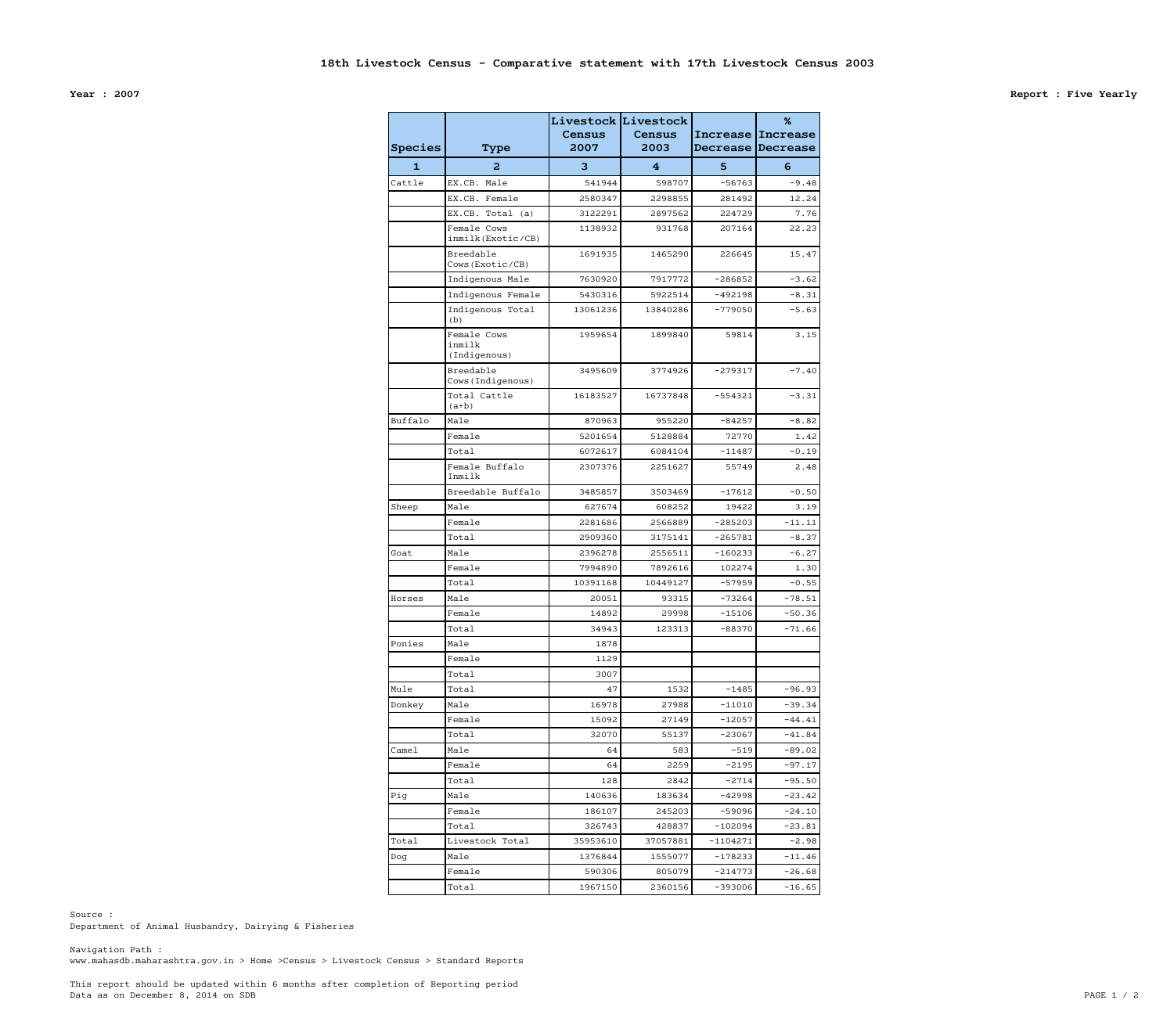Data as on December 8, 2014 on SDB PAGE 1 / 2 This report should be updated within 6 months after completion of Reporting period

www.mahasdb.maharashtra.gov.in > Home >Census > Livestock Census > Standard Reports Navigation Path :

Department of Animal Husbandry, Dairying & Fisheries Source :

**Year : 2007 Report : Five Yearly**

| <b>Species</b>    | <b>Type</b>                           | Census<br>2007     | Livestock Livestock<br>Census<br>2003 | Increase<br>Decrease | %<br><b>Increase</b><br><b>Decrease</b> |
|-------------------|---------------------------------------|--------------------|---------------------------------------|----------------------|-----------------------------------------|
| $\mathbf{1}$      | 2                                     | 3                  | 4                                     | 5                    | 6                                       |
| Cattle            | EX.CB. Male                           | 541944             | 598707                                | $-56763$             | $-9.48$                                 |
|                   | EX.CB. Female                         |                    |                                       |                      |                                         |
|                   |                                       | 2580347<br>3122291 | 2298855<br>2897562                    | 281492<br>224729     | 12.24<br>7.76                           |
|                   | EX.CB. Total (a)<br>Female Cows       | 1138932            | 931768                                | 207164               | 22.23                                   |
|                   | inmilk (Exotic/CB)                    |                    |                                       |                      |                                         |
|                   | Breedable<br>Cows (Exotic/CB)         | 1691935            | 1465290                               | 226645               | 15.47                                   |
|                   | Indigenous Male                       | 7630920            | 7917772                               | $-286852$            | $-3.62$                                 |
|                   | Indigenous Female                     | 5430316            | 5922514                               | $-492198$            | $-8.31$                                 |
|                   | Indigenous Total<br>(b)               | 13061236           | 13840286                              | $-779050$            | $-5.63$                                 |
|                   | Female Cows<br>inmilk<br>(Indigenous) | 1959654            | 1899840                               | 59814                | 3.15                                    |
|                   | Breedable<br>Cows(Indigenous)         | 3495609            | 3774926                               | $-279317$            | $-7.40$                                 |
|                   | Total Cattle<br>$(a+b)$               | 16183527           | 16737848                              | $-554321$            | $-3.31$                                 |
| Buffalo           | Male                                  | 870963             | 955220                                | $-84257$             | $-8.82$                                 |
|                   | Female                                | 5201654            | 5128884                               | 72770                | 1.42                                    |
|                   | Total                                 | 6072617            | 6084104                               | $-11487$             | $-0.19$                                 |
|                   | Female Buffalo<br>Inmilk              | 2307376            | 2251627                               | 55749                | 2.48                                    |
|                   | Breedable Buffalo                     | 3485857            | 3503469                               | $-17612$             | $-0.50$                                 |
| Sheep             | Male                                  | 627674             | 608252                                | 19422                | 3.19                                    |
|                   | Female                                | 2281686            | 2566889                               | $-285203$            | $-11.11$                                |
|                   | Total                                 | 2909360            | 3175141                               | $-265781$            | $-8.37$                                 |
| Goat              | Male                                  | 2396278            | 2556511                               | $-160233$            | $-6.27$                                 |
|                   | Female                                | 7994890            | 7892616                               | 102274               | 1.30                                    |
|                   | Total                                 | 10391168           | 10449127                              | $-57959$             | $-0.55$                                 |
| Horses            | Male                                  | 20051              | 93315                                 | $-73264$             | $-78.51$                                |
|                   | Female                                | 14892              | 29998                                 | $-15106$             | $-50.36$                                |
|                   | Total                                 | 34943              | 123313                                | $-88370$             | $-71.66$                                |
| Ponies            | Male                                  | 1878               |                                       |                      |                                         |
|                   | Female                                | 1129               |                                       |                      |                                         |
|                   | Total                                 | 3007               |                                       |                      |                                         |
| Mule              | Total                                 | 47                 | 1532                                  | $-1485$              | $-96.93$                                |
| Donkey            | Male                                  | 16978              | 27988                                 | $-11010$             | $-39.34$                                |
|                   | Female                                | 15092              | 27149                                 | $-12057$             | $-44.41$                                |
|                   | Total                                 | 32070              | 55137                                 | $-23067$             | $-41.84$                                |
| Came <sub>l</sub> | Male                                  | 64                 | 583                                   | $-519$               | $-89.02$                                |
|                   | Female                                | 64                 | 2259                                  | $-2195$              | $-97.17$                                |
|                   | Total                                 | 128                | 2842                                  | $-2714$              | $-95.50$                                |
| Pig               | Male                                  | 140636             | 183634                                | $-42998$             | $-23.42$                                |
|                   | Female                                | 186107             | 245203                                | $-59096$             | $-24.10$                                |
|                   | Total                                 | 326743             | 428837                                | $-102094$            | $-23.81$                                |
| Total             | Livestock Total                       | 35953610           | 37057881                              | $-1104271$           | $-2.98$                                 |
| Dog               | Male                                  | 1376844            | 1555077                               | $-178233$            | $-11.46$                                |
|                   | Female                                | 590306             | 805079                                | $-214773$            | $-26.68$                                |
|                   | Total                                 | 1967150            | 2360156                               | $-393006$            | $-16.65$                                |